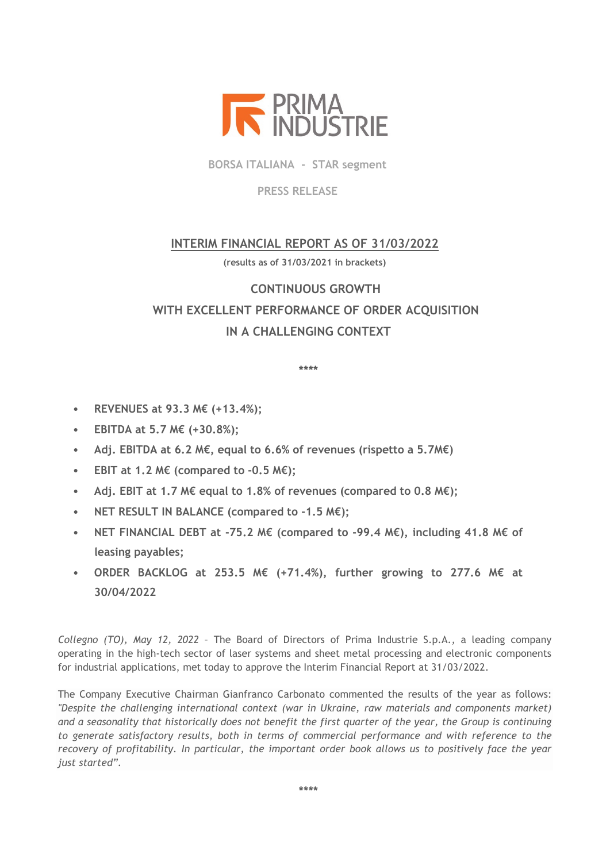

**BORSA ITALIANA - STAR segment**

**PRESS RELEASE**

## **INTERIM FINANCIAL REPORT AS OF 31/03/2022**

**(results as of 31/03/2021 in brackets)** 

# **CONTINUOUS GROWTH WITH EXCELLENT PERFORMANCE OF ORDER ACQUISITION IN A CHALLENGING CONTEXT**

**\*\*\*\***

- **REVENUES at 93.3 M€ (+13.4%);**
- **EBITDA at 5.7 M€ (+30.8%);**
- **Adj. EBITDA at 6.2 M€, equal to 6.6% of revenues (rispetto a 5.7M€)**
- **EBIT at 1.2 M€ (compared to -0.5 M€);**
- **Adj. EBIT at 1.7 M€ equal to 1.8% of revenues (compared to 0.8 M€);**
- **NET RESULT IN BALANCE (compared to -1.5 M€);**
- **NET FINANCIAL DEBT at -75.2 M€ (compared to -99.4 M€), including 41.8 M€ of leasing payables;**
- **ORDER BACKLOG at 253.5 M€ (+71.4%), further growing to 277.6 M€ at 30/04/2022**

*Collegno (TO), May 12, 2022* – The Board of Directors of Prima Industrie S.p.A., a leading company operating in the high-tech sector of laser systems and sheet metal processing and electronic components for industrial applications, met today to approve the Interim Financial Report at 31/03/2022.

The Company Executive Chairman Gianfranco Carbonato commented the results of the year as follows: *"Despite the challenging international context (war in Ukraine, raw materials and components market) and a seasonality that historically does not benefit the first quarter of the year, the Group is continuing to generate satisfactory results, both in terms of commercial performance and with reference to the recovery of profitability. In particular, the important order book allows us to positively face the year just started".*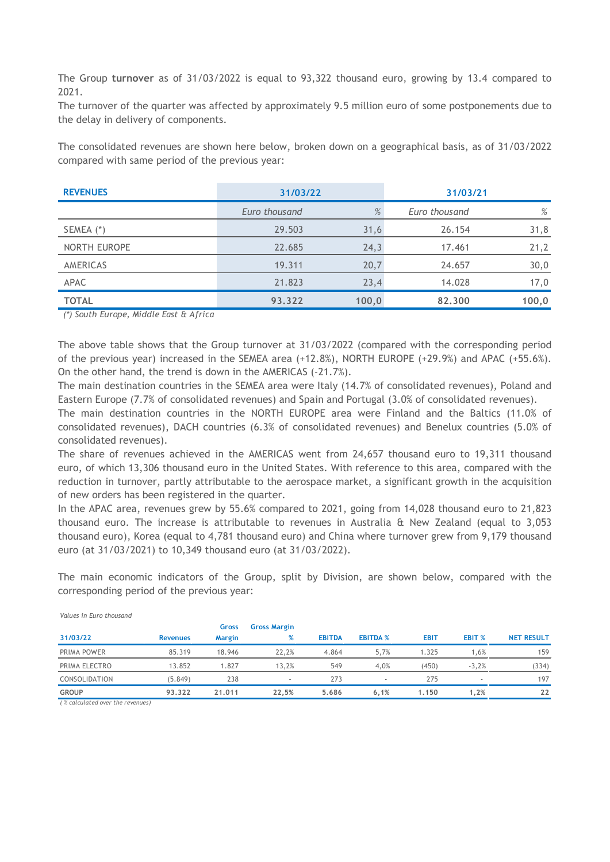The Group **turnover** as of 31/03/2022 is equal to 93,322 thousand euro, growing by 13.4 compared to 2021.

The turnover of the quarter was affected by approximately 9.5 million euro of some postponements due to the delay in delivery of components.

The consolidated revenues are shown here below, broken down on a geographical basis, as of 31/03/2022 compared with same period of the previous year:

| <b>REVENUES</b> | 31/03/22      |       | 31/03/21      |       |
|-----------------|---------------|-------|---------------|-------|
|                 | Euro thousand | %     | Euro thousand | %     |
| SEMEA (*)       | 29.503        | 31,6  | 26.154        | 31,8  |
| NORTH EUROPE    | 22.685        | 24,3  | 17.461        | 21,2  |
| AMERICAS        | 19.311        | 20,7  | 24.657        | 30,0  |
| APAC            | 21.823        | 23,4  | 14.028        | 17,0  |
| <b>TOTAL</b>    | 93.322        | 100,0 | 82.300        | 100,0 |

*(\*) South Europe, Middle East & Africa*

The above table shows that the Group turnover at 31/03/2022 (compared with the corresponding period of the previous year) increased in the SEMEA area (+12.8%), NORTH EUROPE (+29.9%) and APAC (+55.6%). On the other hand, the trend is down in the AMERICAS (-21.7%).

The main destination countries in the SEMEA area were Italy (14.7% of consolidated revenues), Poland and Eastern Europe (7.7% of consolidated revenues) and Spain and Portugal (3.0% of consolidated revenues).

The main destination countries in the NORTH EUROPE area were Finland and the Baltics (11.0% of consolidated revenues), DACH countries (6.3% of consolidated revenues) and Benelux countries (5.0% of consolidated revenues).

The share of revenues achieved in the AMERICAS went from 24,657 thousand euro to 19,311 thousand euro, of which 13,306 thousand euro in the United States. With reference to this area, compared with the reduction in turnover, partly attributable to the aerospace market, a significant growth in the acquisition of new orders has been registered in the quarter.

In the APAC area, revenues grew by 55.6% compared to 2021, going from 14,028 thousand euro to 21,823 thousand euro. The increase is attributable to revenues in Australia & New Zealand (equal to 3,053 thousand euro), Korea (equal to 4,781 thousand euro) and China where turnover grew from 9,179 thousand euro (at 31/03/2021) to 10,349 thousand euro (at 31/03/2022).

The main economic indicators of the Group, split by Division, are shown below, compared with the corresponding period of the previous year:

|               |                 | Gross         | <b>Gross Margin</b> |               |                 |             |         |                   |
|---------------|-----------------|---------------|---------------------|---------------|-----------------|-------------|---------|-------------------|
| 31/03/22      | <b>Revenues</b> | <b>Margin</b> | %                   | <b>EBITDA</b> | <b>EBITDA %</b> | <b>EBIT</b> | EBIT %  | <b>NET RESULT</b> |
| PRIMA POWER   | 85.319          | 18.946        | 22.2%               | 4.864         | 5.7%            | 1.325       | 1.6%    | 159               |
| PRIMA ELECTRO | 13.852          | 1.827         | 13,2%               | 549           | 4,0%            | (450)       | $-3,2%$ | (334)             |
| CONSOLIDATION | (5.849)         | 238           |                     | 273           |                 | 275         |         | 197               |
| <b>GROUP</b>  | 93.322          | 21.011        | 22.5%               | 5.686         | 6.1%            | 1.150       | 1,2%    | 22                |

*Values in Euro thousand* 

*( % calculated over the revenues)*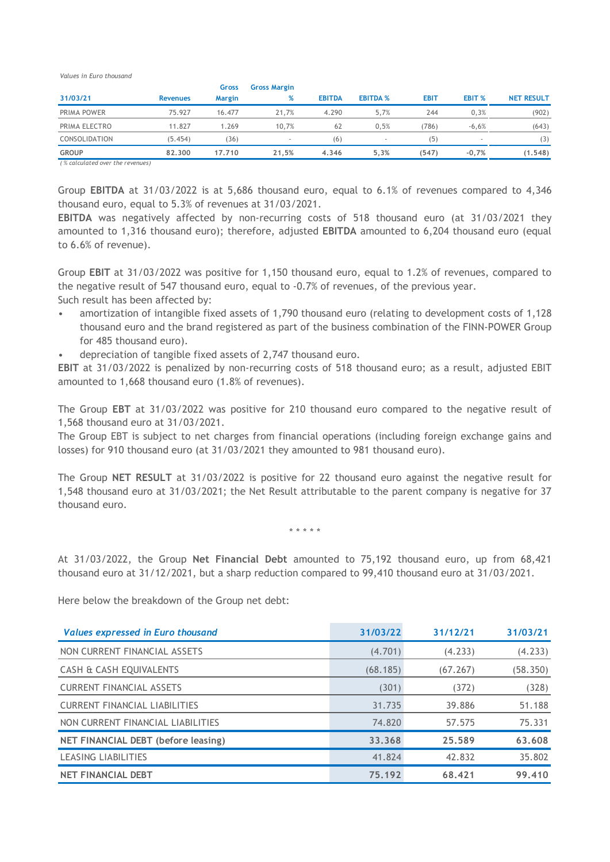*Values in Euro thousand* 

| 31/03/21                  | <b>Revenues</b> | <b>Gross</b><br><b>Margin</b> | <b>Gross Margin</b><br>% | <b>EBITDA</b> | <b>EBITDA %</b> | <b>EBIT</b> | EBIT %  | <b>NET RESULT</b> |
|---------------------------|-----------------|-------------------------------|--------------------------|---------------|-----------------|-------------|---------|-------------------|
| PRIMA POWER               | 75.927          | 16.477                        | 21.7%                    | 4.290         | 5.7%            | 244         | 0.3%    | (902)             |
| PRIMA ELECTRO             | 11.827          | 1.269                         | 10.7%                    | 62            | 0.5%            | (786)       | $-6,6%$ | (643)             |
| CONSOLIDATION             | (5.454)         | 36)                           |                          | (6)           |                 | (5          |         | (3)               |
| <b>GROUP</b><br>_________ | 82.300          | 17.710                        | 21.5%                    | 4.346         | 5.3%            | (547)       | $-0.7%$ | (1.548)           |

*( % calculated over the revenues)*

Group **EBITDA** at 31/03/2022 is at 5,686 thousand euro, equal to 6.1% of revenues compared to 4,346 thousand euro, equal to 5.3% of revenues at 31/03/2021.

**EBITDA** was negatively affected by non-recurring costs of 518 thousand euro (at 31/03/2021 they amounted to 1,316 thousand euro); therefore, adjusted **EBITDA** amounted to 6,204 thousand euro (equal to 6.6% of revenue).

Group **EBIT** at 31/03/2022 was positive for 1,150 thousand euro, equal to 1.2% of revenues, compared to the negative result of 547 thousand euro, equal to -0.7% of revenues, of the previous year. Such result has been affected by:

- amortization of intangible fixed assets of 1,790 thousand euro (relating to development costs of 1,128 thousand euro and the brand registered as part of the business combination of the FINN-POWER Group for 485 thousand euro).
- depreciation of tangible fixed assets of 2,747 thousand euro.

**EBIT** at 31/03/2022 is penalized by non-recurring costs of 518 thousand euro; as a result, adjusted EBIT amounted to 1,668 thousand euro (1.8% of revenues).

The Group **EBT** at 31/03/2022 was positive for 210 thousand euro compared to the negative result of 1,568 thousand euro at 31/03/2021.

The Group EBT is subject to net charges from financial operations (including foreign exchange gains and losses) for 910 thousand euro (at 31/03/2021 they amounted to 981 thousand euro).

The Group **NET RESULT** at 31/03/2022 is positive for 22 thousand euro against the negative result for 1,548 thousand euro at 31/03/2021; the Net Result attributable to the parent company is negative for 37 thousand euro.

\* \* \* \* \*

At 31/03/2022, the Group **Net Financial Debt** amounted to 75,192 thousand euro, up from 68,421 thousand euro at 31/12/2021, but a sharp reduction compared to 99,410 thousand euro at 31/03/2021.

Here below the breakdown of the Group net debt:

| Values expressed in Euro thousand    | 31/03/22 | 31/12/21 | 31/03/21 |
|--------------------------------------|----------|----------|----------|
| NON CURRENT FINANCIAL ASSETS         | (4.701)  | (4.233)  | (4.233)  |
| CASH & CASH EQUIVALENTS              | (68.185) | (67.267) | (58.350) |
| <b>CURRENT FINANCIAL ASSETS</b>      | (301)    | (372)    | (328)    |
| <b>CURRENT FINANCIAL LIABILITIES</b> | 31.735   | 39.886   | 51.188   |
| NON CURRENT FINANCIAL LIABILITIES    | 74.820   | 57.575   | 75.331   |
| NET FINANCIAL DEBT (before leasing)  | 33.368   | 25.589   | 63.608   |
| <b>LEASING LIABILITIES</b>           | 41.824   | 42.832   | 35.802   |
| <b>NET FINANCIAL DEBT</b>            | 75.192   | 68.421   | 99.410   |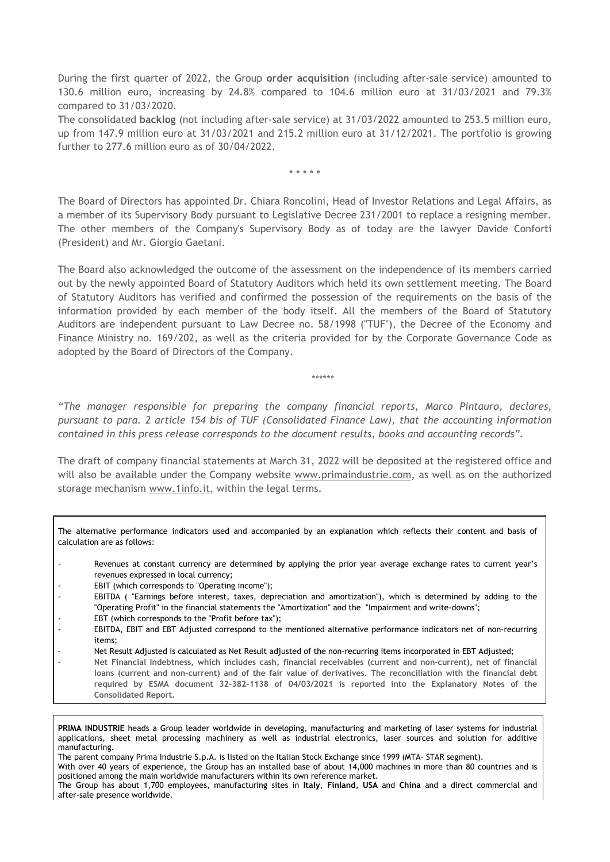During the first quarter of 2022, the Group **order acquisition** (including after-sale service) amounted to 130.6 million euro, increasing by 24.8% compared to 104.6 million euro at 31/03/2021 and 79.3% compared to 31/03/2020.

The consolidated **backlog** (not including after-sale service) at 31/03/2022 amounted to 253.5 million euro, up from 147.9 million euro at 31/03/2021 and 215.2 million euro at 31/12/2021. The portfolio is growing further to 277.6 million euro as of 30/04/2022.

\* \* \* \* \*

The Board of Directors has appointed Dr. Chiara Roncolini, Head of Investor Relations and Legal Affairs, as a member of its Supervisory Body pursuant to Legislative Decree 231/2001 to replace a resigning member. The other members of the Company's Supervisory Body as of today are the lawyer Davide Conforti (President) and Mr. Giorgio Gaetani.

The Board also acknowledged the outcome of the assessment on the independence of its members carried out by the newly appointed Board of Statutory Auditors which held its own settlement meeting. The Board of Statutory Auditors has verified and confirmed the possession of the requirements on the basis of the information provided by each member of the body itself. All the members of the Board of Statutory Auditors are independent pursuant to Law Decree no. 58/1998 ("TUF"), the Decree of the Economy and Finance Ministry no. 169/202, as well as the criteria provided for by the Corporate Governance Code as adopted by the Board of Directors of the Company.

\*\*\*\*\*\*

*"The manager responsible for preparing the company financial reports, Marco Pintauro, declares, pursuant to para. 2 article 154 bis of TUF (Consolidated Finance Law), that the accounting information contained in this press release corresponds to the document results, books and accounting records".*

The draft of company financial statements at March 31, 2022 will be deposited at the registered office and will also be available under the Company website [www.primaindustrie.com,](http://www.primaindustrie.com/) as well as on the authorized storage mechanism [www.1info.it,](http://www.1info.it/) within the legal terms.

The alternative performance indicators used and accompanied by an explanation which reflects their content and basis of calculation are as follows:

- Revenues at constant currency are determined by applying the prior year average exchange rates to current year's revenues expressed in local currency;
- EBIT (which corresponds to "Operating income");
- EBITDA ( "Earnings before interest, taxes, depreciation and amortization"), which is determined by adding to the "Operating Profit" in the financial statements the "Amortization" and the "Impairment and write-downs";
- EBT (which corresponds to the "Profit before tax");
- EBITDA, EBIT and EBT Adjusted correspond to the mentioned alternative performance indicators net of non-recurring items;
- Net Result Adjusted is calculated as Net Result adjusted of the non-recurring items incorporated in EBT Adjusted;
- **Net Financial Indebtness, which includes cash, financial receivables (current and non-current), net of financial loans (current and non-current) and of the fair value of derivatives. The reconciliation with the financial debt required by ESMA document 32-382-1138 of 04/03/2021 is reported into the Explanatory Notes of the Consolidated Report.**

**PRIMA INDUSTRIE** heads a Group leader worldwide in developing, manufacturing and marketing of laser systems for industrial applications, sheet metal processing machinery as well as industrial electronics, laser sources and solution for additive manufacturing.

The parent company Prima Industrie S.p.A. is listed on the Italian Stock Exchange since 1999 (MTA- STAR segment).

With over 40 years of experience, the Group has an installed base of about 14,000 machines in more than 80 countries and is positioned among the main worldwide manufacturers within its own reference market.

The Group has about 1,700 employees, manufacturing sites in **Italy**, **Finland**, **USA** and **China** and a direct commercial and after-sale presence worldwide.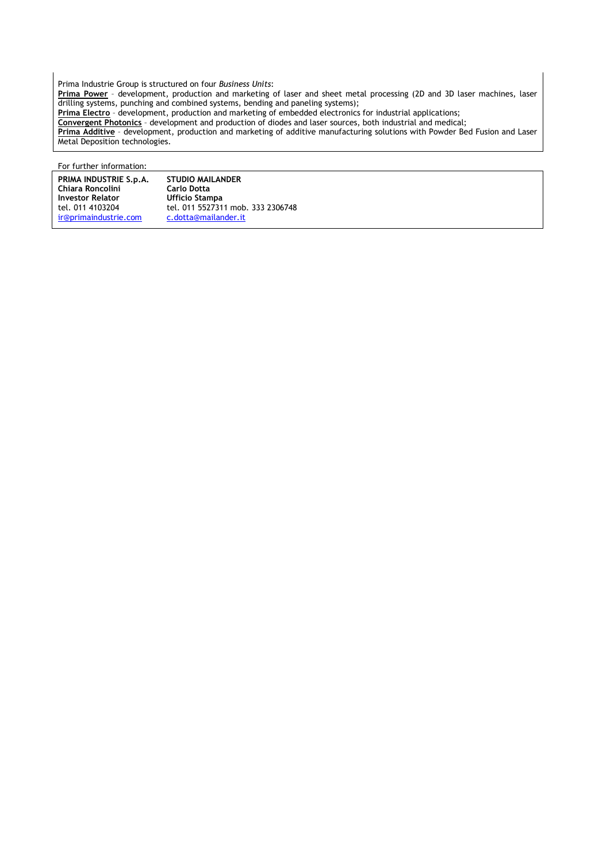Prima Industrie Group is structured on four *Business Units*: **Prima Power** – development, production and marketing of laser and sheet metal processing (2D and 3D laser machines, laser drilling systems, punching and combined systems, bending and paneling systems); **Prima Electro** – development, production and marketing of embedded electronics for industrial applications; **Convergent Photonics** – development and production of diodes and laser sources, both industrial and medical; **Prima Additive** – development, production and marketing of additive manufacturing solutions with Powder Bed Fusion and Laser Metal Deposition technologies.

For further information:

| PRIMA INDUSTRIE S.p.A.  | <b>STUDIO MAILANDER</b>           |
|-------------------------|-----------------------------------|
| Chiara Roncolini        | <b>Carlo Dotta</b>                |
| <b>Investor Relator</b> | Ufficio Stampa                    |
| tel. 011 4103204        | tel. 011 5527311 mob. 333 2306748 |
| ir@primaindustrie.com   | c.dotta@mailander.it              |
|                         |                                   |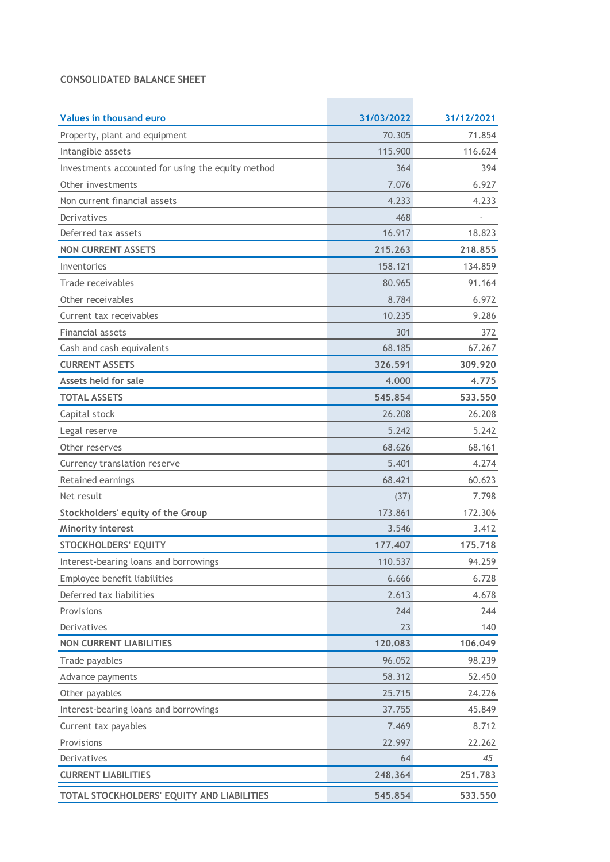#### **CONSOLIDATED BALANCE SHEET**

| Values in thousand euro                           | 31/03/2022 | 31/12/2021 |
|---------------------------------------------------|------------|------------|
| Property, plant and equipment                     | 70.305     | 71.854     |
| Intangible assets                                 | 115.900    | 116.624    |
| Investments accounted for using the equity method | 364        | 394        |
| Other investments                                 | 7.076      | 6.927      |
| Non current financial assets                      | 4.233      | 4.233      |
| Derivatives                                       | 468        |            |
| Deferred tax assets                               | 16.917     | 18.823     |
| <b>NON CURRENT ASSETS</b>                         | 215.263    | 218.855    |
| Inventories                                       | 158.121    | 134.859    |
| Trade receivables                                 | 80.965     | 91.164     |
| Other receivables                                 | 8.784      | 6.972      |
| Current tax receivables                           | 10.235     | 9.286      |
| Financial assets                                  | 301        | 372        |
| Cash and cash equivalents                         | 68.185     | 67.267     |
| <b>CURRENT ASSETS</b>                             | 326.591    | 309.920    |
| Assets held for sale                              | 4.000      | 4.775      |
| <b>TOTAL ASSETS</b>                               | 545.854    | 533.550    |
| Capital stock                                     | 26.208     | 26.208     |
| Legal reserve                                     | 5.242      | 5.242      |
| Other reserves                                    | 68.626     | 68.161     |
| Currency translation reserve                      | 5.401      | 4.274      |
| Retained earnings                                 | 68.421     | 60.623     |
| Net result                                        | (37)       | 7.798      |
| Stockholders' equity of the Group                 | 173.861    | 172.306    |
| <b>Minority interest</b>                          | 3.546      | 3.412      |
| <b>STOCKHOLDERS' EQUITY</b>                       | 177.407    | 175.718    |
| Interest-bearing loans and borrowings             | 110.537    | 94.259     |
| Employee benefit liabilities                      | 6.666      | 6.728      |
| Deferred tax liabilities                          | 2.613      | 4.678      |
| Provisions                                        | 244        | 244        |
| Derivatives                                       | 23         | 140        |
| <b>NON CURRENT LIABILITIES</b>                    | 120.083    | 106.049    |
| Trade payables                                    | 96.052     | 98.239     |
| Advance payments                                  | 58.312     | 52.450     |
| Other payables                                    | 25.715     | 24.226     |
| Interest-bearing loans and borrowings             | 37.755     | 45.849     |
| Current tax payables                              | 7.469      | 8.712      |
| Provisions                                        | 22.997     | 22.262     |
| Derivatives                                       | 64         | 45         |
| <b>CURRENT LIABILITIES</b>                        | 248.364    | 251.783    |
| TOTAL STOCKHOLDERS' EQUITY AND LIABILITIES        | 545.854    | 533.550    |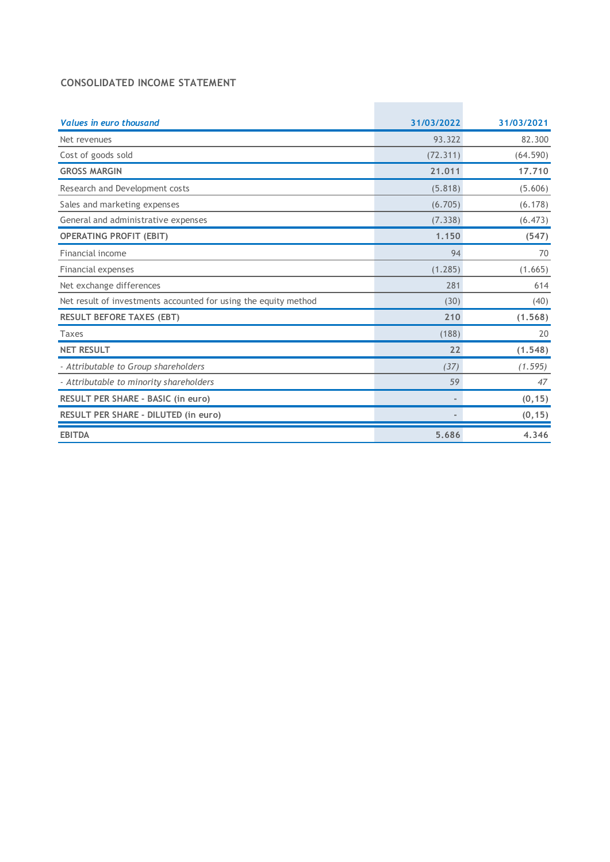#### **CONSOLIDATED INCOME STATEMENT**

| <b>Values in euro thousand</b>                                  | 31/03/2022 | 31/03/2021 |
|-----------------------------------------------------------------|------------|------------|
| Net revenues                                                    | 93.322     | 82.300     |
| Cost of goods sold                                              | (72.311)   | (64.590)   |
| <b>GROSS MARGIN</b>                                             | 21.011     | 17.710     |
| Research and Development costs                                  | (5.818)    | (5.606)    |
| Sales and marketing expenses                                    | (6.705)    | (6.178)    |
| General and administrative expenses                             | (7.338)    | (6.473)    |
| <b>OPERATING PROFIT (EBIT)</b>                                  | 1.150      | (547)      |
| Financial income                                                | 94         | 70         |
| Financial expenses                                              | (1.285)    | (1.665)    |
| Net exchange differences                                        | 281        | 614        |
| Net result of investments accounted for using the equity method | (30)       | (40)       |
| <b>RESULT BEFORE TAXES (EBT)</b>                                | 210        | (1.568)    |
| Taxes                                                           | (188)      | 20         |
| <b>NET RESULT</b>                                               | 22         | (1.548)    |
| - Attributable to Group shareholders                            | (37)       | (1.595)    |
| - Attributable to minority shareholders                         | 59         | 47         |
| RESULT PER SHARE - BASIC (in euro)                              | $\sim$     | (0, 15)    |
| RESULT PER SHARE - DILUTED (in euro)                            |            | (0, 15)    |
| <b>EBITDA</b>                                                   | 5.686      | 4.346      |